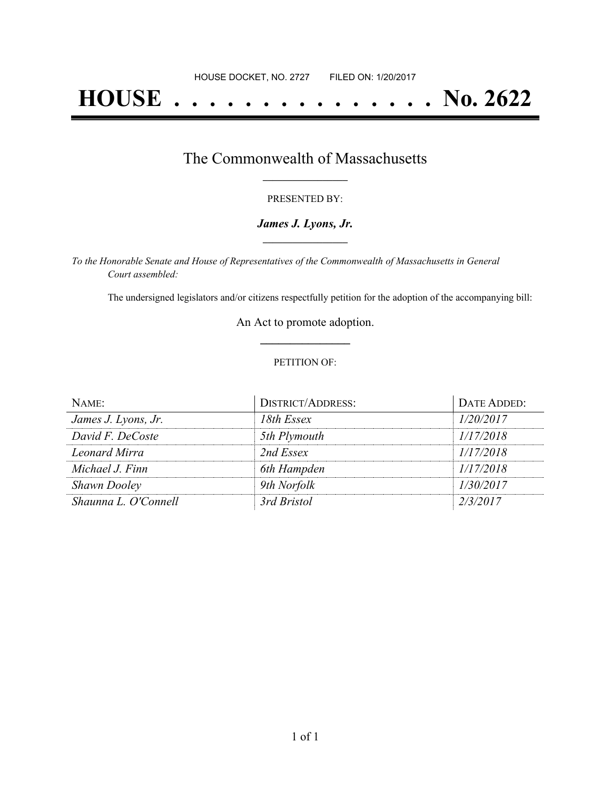# **HOUSE . . . . . . . . . . . . . . . No. 2622**

### The Commonwealth of Massachusetts **\_\_\_\_\_\_\_\_\_\_\_\_\_\_\_\_\_**

#### PRESENTED BY:

#### *James J. Lyons, Jr.* **\_\_\_\_\_\_\_\_\_\_\_\_\_\_\_\_\_**

*To the Honorable Senate and House of Representatives of the Commonwealth of Massachusetts in General Court assembled:*

The undersigned legislators and/or citizens respectfully petition for the adoption of the accompanying bill:

An Act to promote adoption. **\_\_\_\_\_\_\_\_\_\_\_\_\_\_\_**

#### PETITION OF:

| NAME:                | <b>DISTRICT/ADDRESS:</b> | DATE ADDED: |
|----------------------|--------------------------|-------------|
| James J. Lyons, Jr.  | 18th Essex               | 1/20/2017   |
| David F. DeCoste     | 5th Plymouth             | 1/17/2018   |
| Leonard Mirra        | 2nd Essex                | 1/17/2018   |
| Michael J. Finn      | 6th Hampden              | 1/17/2018   |
| <b>Shawn Dooley</b>  | 9th Norfolk              | 1/30/2017   |
| Shaunna L. O'Connell | 3rd Bristol              | 2/3/2017    |